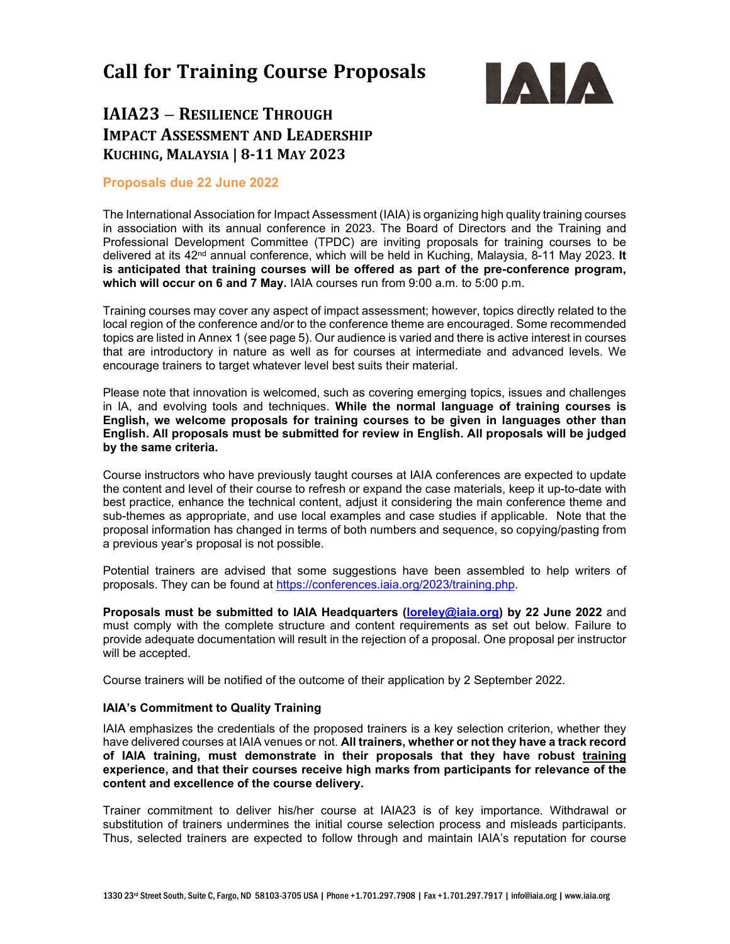# **Call for Training Course Proposals**



## **IAIA23 – RESILIENCE THROUGH IMPACT ASSESSMENT AND LEADERSHIP KUCHING, MALAYSIA | 8-11 MAY 2023**

#### **Proposals due 22 June 2022**

The International Association for Impact Assessment (IAIA) is organizing high quality training courses in association with its annual conference in 2023. The Board of Directors and the Training and Professional Development Committee (TPDC) are inviting proposals for training courses to be delivered at its 42nd annual conference, which will be held in Kuching, Malaysia, 8-11 May 2023. **It is anticipated that training courses will be offered as part of the pre-conference program, which will occur on 6 and 7 May.** IAIA courses run from 9:00 a.m. to 5:00 p.m.

Training courses may cover any aspect of impact assessment; however, topics directly related to the local region of the conference and/or to the conference theme are encouraged. Some recommended topics are listed in Annex 1 (see page 5). Our audience is varied and there is active interest in courses that are introductory in nature as well as for courses at intermediate and advanced levels. We encourage trainers to target whatever level best suits their material.

Please note that innovation is welcomed, such as covering emerging topics, issues and challenges in IA, and evolving tools and techniques. **While the normal language of training courses is English, we welcome proposals for training courses to be given in languages other than English. All proposals must be submitted for review in English. All proposals will be judged by the same criteria.**

Course instructors who have previously taught courses at IAIA conferences are expected to update the content and level of their course to refresh or expand the case materials, keep it up-to-date with best practice, enhance the technical content, adjust it considering the main conference theme and sub-themes as appropriate, and use local examples and case studies if applicable. Note that the proposal information has changed in terms of both numbers and sequence, so copying/pasting from a previous year's proposal is not possible.

Potential trainers are advised that some suggestions have been assembled to help writers of proposals. They can be found at [https://conferences.iaia.org/2023/training.php.](https://conferences.iaia.org/2023/training.php)

**Proposals must be submitted to IAIA Headquarters [\(loreley@iaia.org\)](mailto:loreley@iaia.org) by 22 June 2022** and must comply with the complete structure and content requirements as set out below. Failure to provide adequate documentation will result in the rejection of a proposal. One proposal per instructor will be accepted.

Course trainers will be notified of the outcome of their application by 2 September 2022.

#### **IAIA's Commitment to Quality Training**

IAIA emphasizes the credentials of the proposed trainers is a key selection criterion, whether they have delivered courses at IAIA venues or not. **All trainers, whether or not they have a track record of IAIA training, must demonstrate in their proposals that they have robust training experience, and that their courses receive high marks from participants for relevance of the content and excellence of the course delivery.**

Trainer commitment to deliver his/her course at IAIA23 is of key importance. Withdrawal or substitution of trainers undermines the initial course selection process and misleads participants. Thus, selected trainers are expected to follow through and maintain IAIA's reputation for course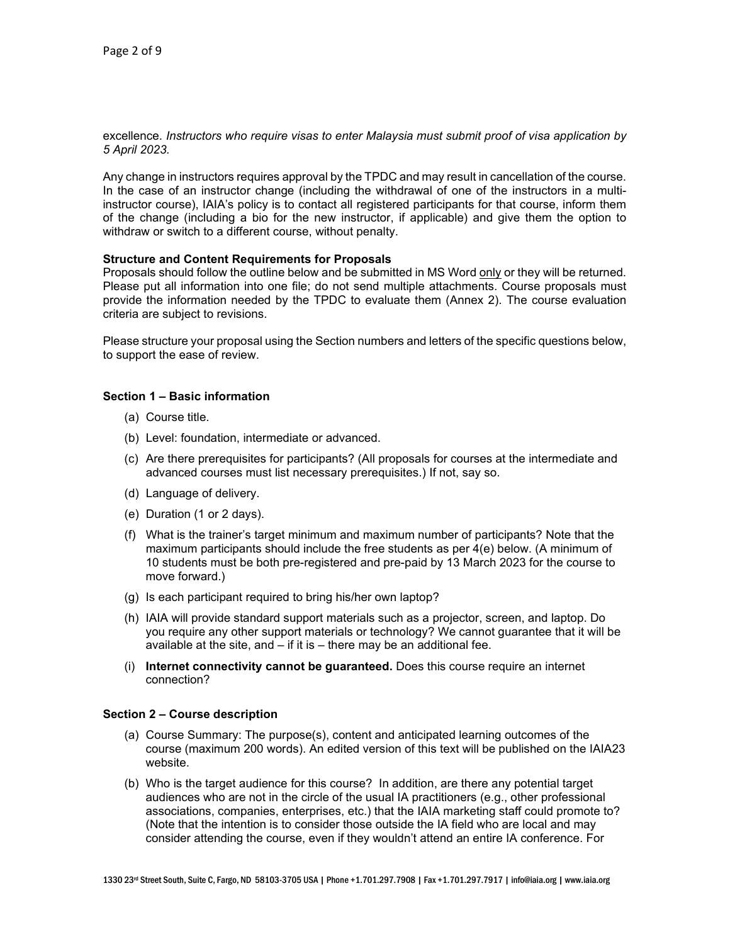excellence. *Instructors who require visas to enter Malaysia must submit proof of visa application by 5 April 2023.*

Any change in instructors requires approval by the TPDC and may result in cancellation of the course. In the case of an instructor change (including the withdrawal of one of the instructors in a multiinstructor course), IAIA's policy is to contact all registered participants for that course, inform them of the change (including a bio for the new instructor, if applicable) and give them the option to withdraw or switch to a different course, without penalty.

#### **Structure and Content Requirements for Proposals**

Proposals should follow the outline below and be submitted in MS Word only or they will be returned. Please put all information into one file; do not send multiple attachments. Course proposals must provide the information needed by the TPDC to evaluate them (Annex 2). The course evaluation criteria are subject to revisions.

Please structure your proposal using the Section numbers and letters of the specific questions below, to support the ease of review.

#### **Section 1 – Basic information**

- (a) Course title.
- (b) Level: foundation, intermediate or advanced.
- (c) Are there prerequisites for participants? (All proposals for courses at the intermediate and advanced courses must list necessary prerequisites.) If not, say so.
- (d) Language of delivery.
- (e) Duration (1 or 2 days).
- (f) What is the trainer's target minimum and maximum number of participants? Note that the maximum participants should include the free students as per 4(e) below. (A minimum of 10 students must be both pre-registered and pre-paid by 13 March 2023 for the course to move forward.)
- (g) Is each participant required to bring his/her own laptop?
- (h) IAIA will provide standard support materials such as a projector, screen, and laptop. Do you require any other support materials or technology? We cannot guarantee that it will be available at the site, and  $-$  if it is  $-$  there may be an additional fee.
- (i) **Internet connectivity cannot be guaranteed.** Does this course require an internet connection?

#### **Section 2 – Course description**

- (a) Course Summary: The purpose(s), content and anticipated learning outcomes of the course (maximum 200 words). An edited version of this text will be published on the IAIA23 website.
- (b) Who is the target audience for this course? In addition, are there any potential target audiences who are not in the circle of the usual IA practitioners (e.g., other professional associations, companies, enterprises, etc.) that the IAIA marketing staff could promote to? (Note that the intention is to consider those outside the IA field who are local and may consider attending the course, even if they wouldn't attend an entire IA conference. For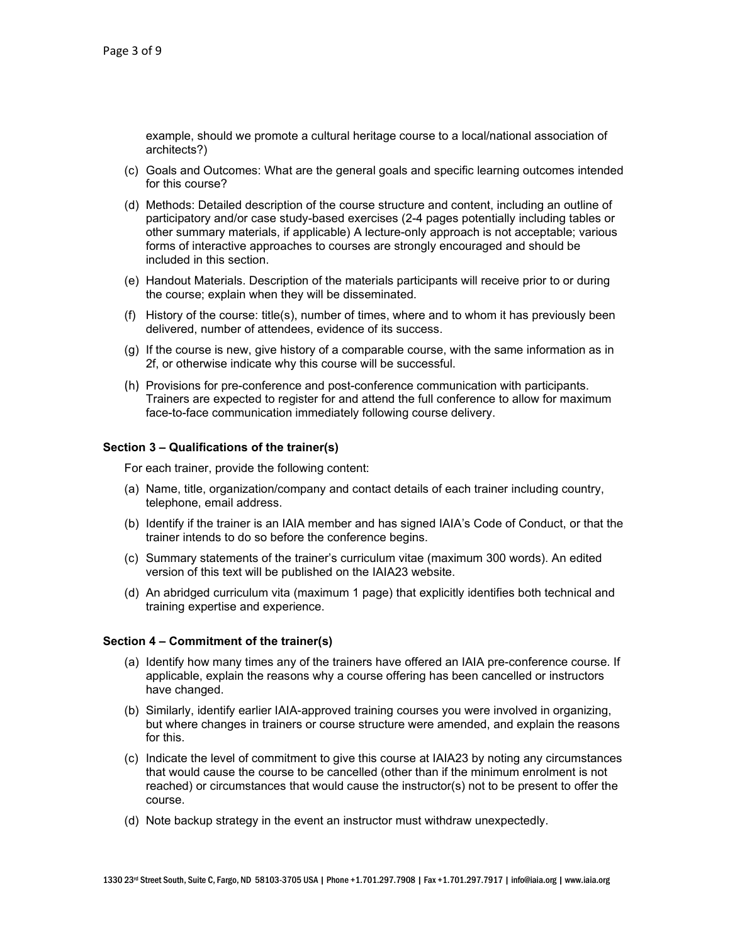example, should we promote a cultural heritage course to a local/national association of architects?)

- (c) Goals and Outcomes: What are the general goals and specific learning outcomes intended for this course?
- (d) Methods: Detailed description of the course structure and content, including an outline of participatory and/or case study-based exercises (2-4 pages potentially including tables or other summary materials, if applicable) A lecture-only approach is not acceptable; various forms of interactive approaches to courses are strongly encouraged and should be included in this section.
- (e) Handout Materials. Description of the materials participants will receive prior to or during the course; explain when they will be disseminated.
- (f) History of the course: title(s), number of times, where and to whom it has previously been delivered, number of attendees, evidence of its success.
- (g) If the course is new, give history of a comparable course, with the same information as in 2f, or otherwise indicate why this course will be successful.
- (h) Provisions for pre-conference and post-conference communication with participants. Trainers are expected to register for and attend the full conference to allow for maximum face-to-face communication immediately following course delivery.

#### **Section 3 – Qualifications of the trainer(s)**

For each trainer, provide the following content:

- (a) Name, title, organization/company and contact details of each trainer including country, telephone, email address.
- (b) Identify if the trainer is an IAIA member and has signed IAIA's Code of Conduct, or that the trainer intends to do so before the conference begins.
- (c) Summary statements of the trainer's curriculum vitae (maximum 300 words). An edited version of this text will be published on the IAIA23 website.
- (d) An abridged curriculum vita (maximum 1 page) that explicitly identifies both technical and training expertise and experience.

#### **Section 4 – Commitment of the trainer(s)**

- (a) Identify how many times any of the trainers have offered an IAIA pre-conference course. If applicable, explain the reasons why a course offering has been cancelled or instructors have changed.
- (b) Similarly, identify earlier IAIA-approved training courses you were involved in organizing, but where changes in trainers or course structure were amended, and explain the reasons for this.
- (c) Indicate the level of commitment to give this course at IAIA23 by noting any circumstances that would cause the course to be cancelled (other than if the minimum enrolment is not reached) or circumstances that would cause the instructor(s) not to be present to offer the course.
- (d) Note backup strategy in the event an instructor must withdraw unexpectedly.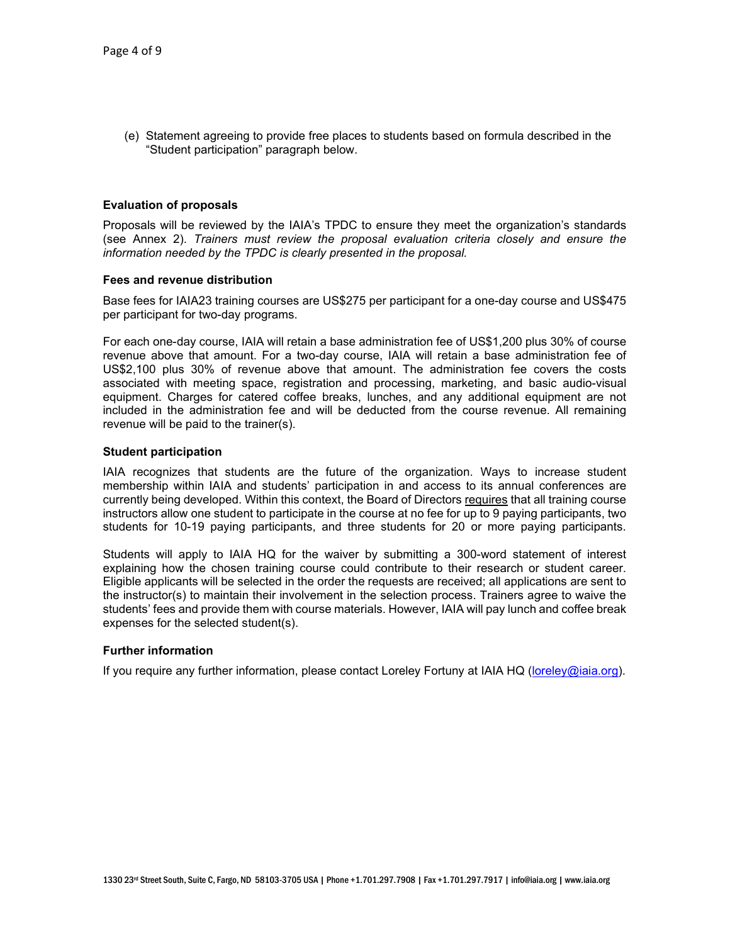(e) Statement agreeing to provide free places to students based on formula described in the "Student participation" paragraph below.

#### **Evaluation of proposals**

Proposals will be reviewed by the IAIA's TPDC to ensure they meet the organization's standards (see Annex 2). *Trainers must review the proposal evaluation criteria closely and ensure the information needed by the TPDC is clearly presented in the proposal.*

#### **Fees and revenue distribution**

Base fees for IAIA23 training courses are US\$275 per participant for a one-day course and US\$475 per participant for two-day programs.

For each one-day course, IAIA will retain a base administration fee of US\$1,200 plus 30% of course revenue above that amount. For a two-day course, IAIA will retain a base administration fee of US\$2,100 plus 30% of revenue above that amount. The administration fee covers the costs associated with meeting space, registration and processing, marketing, and basic audio-visual equipment. Charges for catered coffee breaks, lunches, and any additional equipment are not included in the administration fee and will be deducted from the course revenue. All remaining revenue will be paid to the trainer(s).

#### **Student participation**

IAIA recognizes that students are the future of the organization. Ways to increase student membership within IAIA and students' participation in and access to its annual conferences are currently being developed. Within this context, the Board of Directors requires that all training course instructors allow one student to participate in the course at no fee for up to 9 paying participants, two students for 10-19 paying participants, and three students for 20 or more paying participants.

Students will apply to IAIA HQ for the waiver by submitting a 300-word statement of interest explaining how the chosen training course could contribute to their research or student career. Eligible applicants will be selected in the order the requests are received; all applications are sent to the instructor(s) to maintain their involvement in the selection process. Trainers agree to waive the students' fees and provide them with course materials. However, IAIA will pay lunch and coffee break expenses for the selected student(s).

#### **Further information**

If you require any further information, please contact Loreley Fortuny at IAIA HQ [\(loreley@iaia.org\)](mailto:loreley@iaia.org).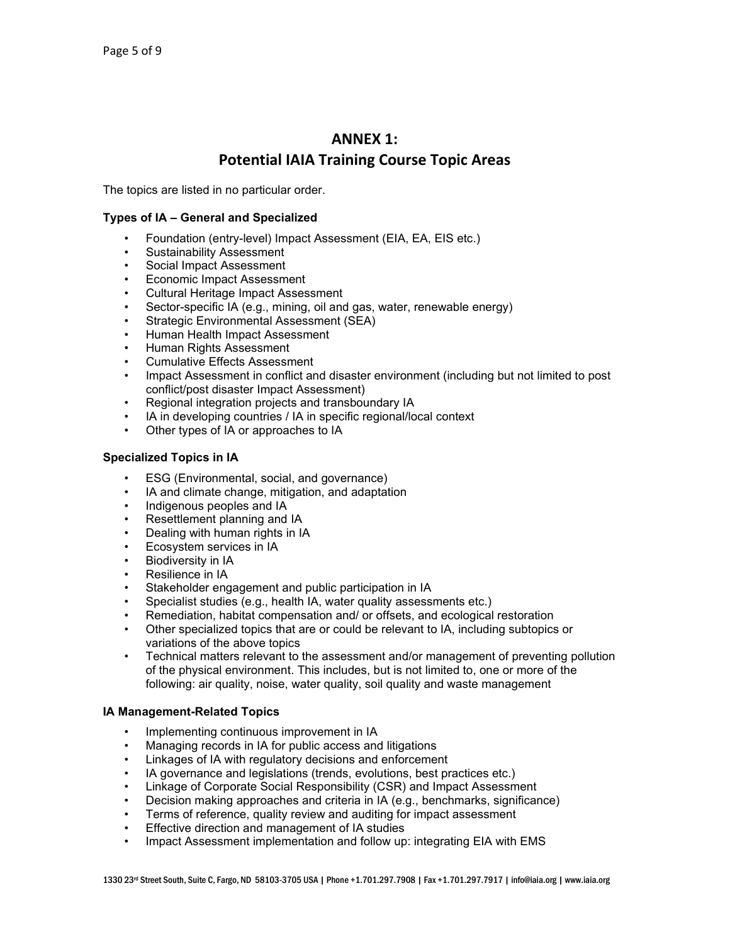## **ANNEX 1: Potential IAIA Training Course Topic Areas**

The topics are listed in no particular order.

#### **Types of IA – General and Specialized**

- Foundation (entry-level) Impact Assessment (EIA, EA, EIS etc.)
- Sustainability Assessment
- Social Impact Assessment
- Economic Impact Assessment
- Cultural Heritage Impact Assessment
- Sector-specific IA (e.g., mining, oil and gas, water, renewable energy)
- Strategic Environmental Assessment (SEA)
- Human Health Impact Assessment
- Human Rights Assessment
- Cumulative Effects Assessment
- Impact Assessment in conflict and disaster environment (including but not limited to post conflict/post disaster Impact Assessment)
- Regional integration projects and transboundary IA
- IA in developing countries / IA in specific regional/local context
- Other types of IA or approaches to IA

#### **Specialized Topics in IA**

- ESG (Environmental, social, and governance)
- IA and climate change, mitigation, and adaptation
- Indigenous peoples and IA
- Resettlement planning and IA
- Dealing with human rights in IA
- Ecosystem services in IA
- **Biodiversity in IA**
- Resilience in IA
- Stakeholder engagement and public participation in IA
- Specialist studies (e.g., health IA, water quality assessments etc.)
- Remediation, habitat compensation and/ or offsets, and ecological restoration
- Other specialized topics that are or could be relevant to IA, including subtopics or variations of the above topics
- Technical matters relevant to the assessment and/or management of preventing pollution of the physical environment. This includes, but is not limited to, one or more of the following: air quality, noise, water quality, soil quality and waste management

#### **IA Management-Related Topics**

- Implementing continuous improvement in IA
- Managing records in IA for public access and litigations
- Linkages of IA with regulatory decisions and enforcement
- IA governance and legislations (trends, evolutions, best practices etc.)
- Linkage of Corporate Social Responsibility (CSR) and Impact Assessment
- Decision making approaches and criteria in IA (e.g., benchmarks, significance)
- Terms of reference, quality review and auditing for impact assessment
- Effective direction and management of IA studies
- Impact Assessment implementation and follow up: integrating EIA with EMS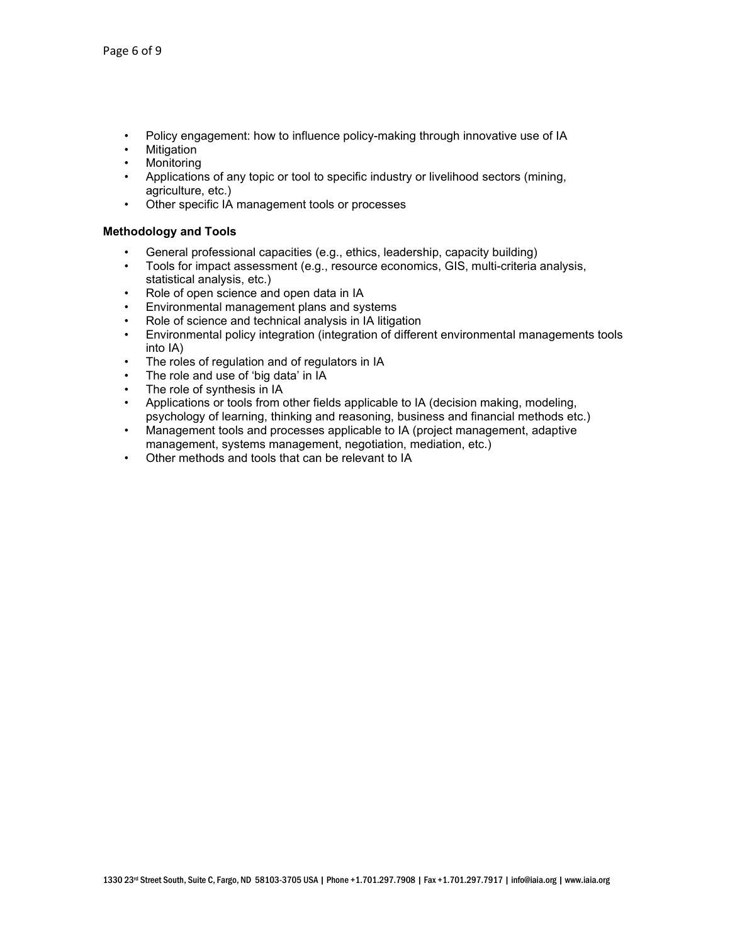- Policy engagement: how to influence policy-making through innovative use of IA
- **Mitigation**
- **Monitoring**
- Applications of any topic or tool to specific industry or livelihood sectors (mining, agriculture, etc.)
- Other specific IA management tools or processes

#### **Methodology and Tools**

- General professional capacities (e.g., ethics, leadership, capacity building)
- Tools for impact assessment (e.g., resource economics, GIS, multi-criteria analysis, statistical analysis, etc.)
- Role of open science and open data in IA
- Environmental management plans and systems
- Role of science and technical analysis in IA litigation
- Environmental policy integration (integration of different environmental managements tools into IA)
- The roles of regulation and of regulators in IA
- The role and use of 'big data' in IA
- The role of synthesis in IA
- Applications or tools from other fields applicable to IA (decision making, modeling, psychology of learning, thinking and reasoning, business and financial methods etc.)
- Management tools and processes applicable to IA (project management, adaptive management, systems management, negotiation, mediation, etc.)
- Other methods and tools that can be relevant to IA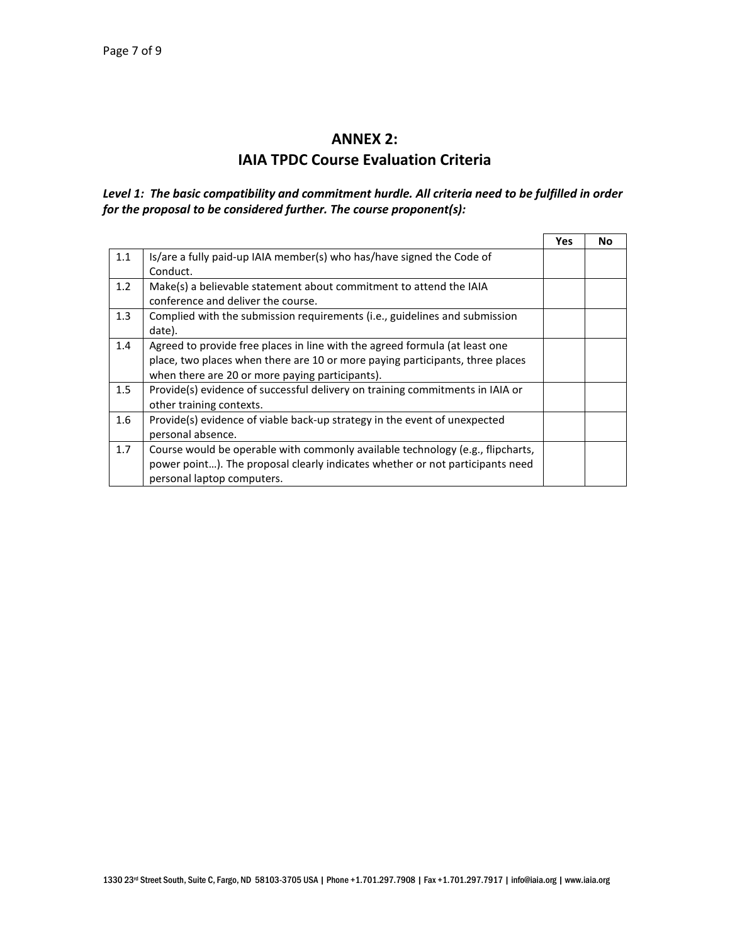## **ANNEX 2: IAIA TPDC Course Evaluation Criteria**

### *Level 1: The basic compatibility and commitment hurdle. All criteria need to be fulfilled in order for the proposal to be considered further. The course proponent(s):*

|     |                                                                                | <b>Yes</b> | No |
|-----|--------------------------------------------------------------------------------|------------|----|
| 1.1 | Is/are a fully paid-up IAIA member(s) who has/have signed the Code of          |            |    |
|     | Conduct.                                                                       |            |    |
| 1.2 | Make(s) a believable statement about commitment to attend the IAIA             |            |    |
|     | conference and deliver the course.                                             |            |    |
| 1.3 | Complied with the submission requirements (i.e., guidelines and submission     |            |    |
|     | date).                                                                         |            |    |
| 1.4 | Agreed to provide free places in line with the agreed formula (at least one    |            |    |
|     | place, two places when there are 10 or more paying participants, three places  |            |    |
|     | when there are 20 or more paying participants).                                |            |    |
| 1.5 | Provide(s) evidence of successful delivery on training commitments in IAIA or  |            |    |
|     | other training contexts.                                                       |            |    |
| 1.6 | Provide(s) evidence of viable back-up strategy in the event of unexpected      |            |    |
|     | personal absence.                                                              |            |    |
| 1.7 | Course would be operable with commonly available technology (e.g., flipcharts, |            |    |
|     | power point). The proposal clearly indicates whether or not participants need  |            |    |
|     | personal laptop computers.                                                     |            |    |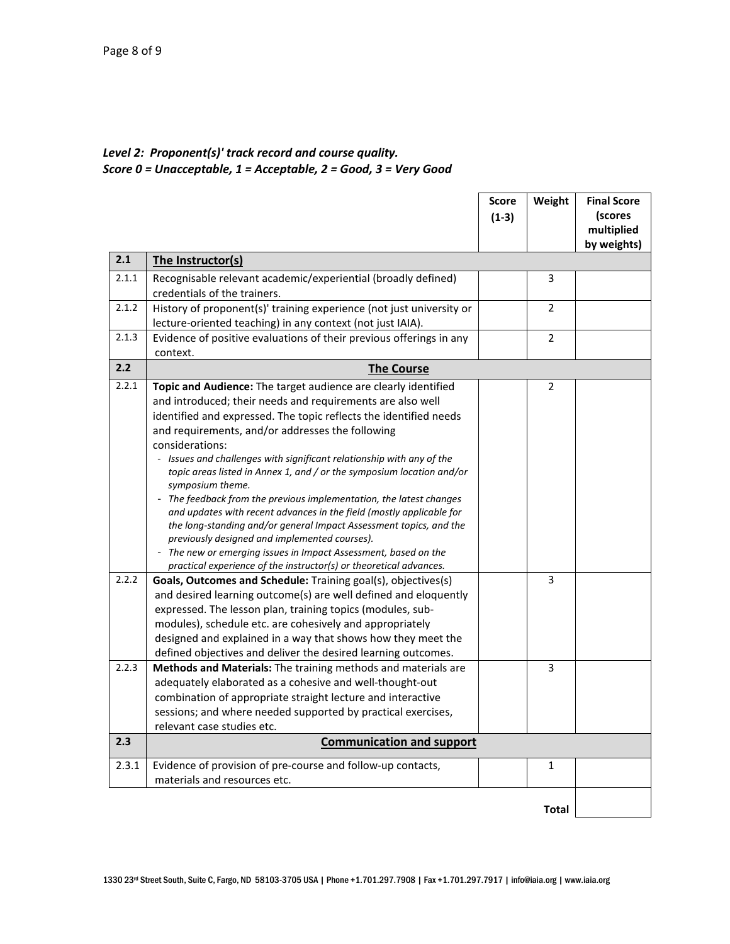## *Level 2: Proponent(s)' track record and course quality.*

*Score 0 = Unacceptable, 1 = Acceptable, 2 = Good, 3 = Very Good*

|       |                                                                                                                                            | <b>Score</b> | Weight         | <b>Final Score</b> |  |  |
|-------|--------------------------------------------------------------------------------------------------------------------------------------------|--------------|----------------|--------------------|--|--|
|       |                                                                                                                                            | $(1-3)$      |                | (scores            |  |  |
|       |                                                                                                                                            |              |                | multiplied         |  |  |
|       |                                                                                                                                            |              |                | by weights)        |  |  |
| 2.1   | The Instructor(s)                                                                                                                          |              |                |                    |  |  |
| 2.1.1 | Recognisable relevant academic/experiential (broadly defined)                                                                              |              | 3              |                    |  |  |
|       | credentials of the trainers.                                                                                                               |              |                |                    |  |  |
| 2.1.2 | History of proponent(s)' training experience (not just university or                                                                       |              | 2              |                    |  |  |
|       | lecture-oriented teaching) in any context (not just IAIA).                                                                                 |              |                |                    |  |  |
| 2.1.3 | Evidence of positive evaluations of their previous offerings in any                                                                        |              | $\overline{2}$ |                    |  |  |
|       | context.                                                                                                                                   |              |                |                    |  |  |
| 2.2   | <b>The Course</b>                                                                                                                          |              |                |                    |  |  |
| 2.2.1 | Topic and Audience: The target audience are clearly identified                                                                             |              | $\overline{2}$ |                    |  |  |
|       | and introduced; their needs and requirements are also well                                                                                 |              |                |                    |  |  |
|       | identified and expressed. The topic reflects the identified needs                                                                          |              |                |                    |  |  |
|       | and requirements, and/or addresses the following                                                                                           |              |                |                    |  |  |
|       | considerations:                                                                                                                            |              |                |                    |  |  |
|       | - Issues and challenges with significant relationship with any of the                                                                      |              |                |                    |  |  |
|       | topic areas listed in Annex 1, and / or the symposium location and/or                                                                      |              |                |                    |  |  |
|       | symposium theme.                                                                                                                           |              |                |                    |  |  |
|       | - The feedback from the previous implementation, the latest changes                                                                        |              |                |                    |  |  |
|       | and updates with recent advances in the field (mostly applicable for<br>the long-standing and/or general Impact Assessment topics, and the |              |                |                    |  |  |
|       | previously designed and implemented courses).                                                                                              |              |                |                    |  |  |
|       | - The new or emerging issues in Impact Assessment, based on the                                                                            |              |                |                    |  |  |
|       | practical experience of the instructor(s) or theoretical advances.                                                                         |              |                |                    |  |  |
| 2.2.2 | Goals, Outcomes and Schedule: Training goal(s), objectives(s)                                                                              |              | 3              |                    |  |  |
|       | and desired learning outcome(s) are well defined and eloquently                                                                            |              |                |                    |  |  |
|       | expressed. The lesson plan, training topics (modules, sub-                                                                                 |              |                |                    |  |  |
|       | modules), schedule etc. are cohesively and appropriately                                                                                   |              |                |                    |  |  |
|       | designed and explained in a way that shows how they meet the                                                                               |              |                |                    |  |  |
|       | defined objectives and deliver the desired learning outcomes.                                                                              |              |                |                    |  |  |
| 2.2.3 | Methods and Materials: The training methods and materials are                                                                              |              | 3              |                    |  |  |
|       | adequately elaborated as a cohesive and well-thought-out                                                                                   |              |                |                    |  |  |
|       | combination of appropriate straight lecture and interactive                                                                                |              |                |                    |  |  |
|       | sessions; and where needed supported by practical exercises,                                                                               |              |                |                    |  |  |
|       | relevant case studies etc.                                                                                                                 |              |                |                    |  |  |
| 2.3   | <b>Communication and support</b>                                                                                                           |              |                |                    |  |  |
| 2.3.1 | Evidence of provision of pre-course and follow-up contacts,                                                                                |              | $\mathbf{1}$   |                    |  |  |
|       | materials and resources etc.                                                                                                               |              |                |                    |  |  |
|       |                                                                                                                                            |              |                |                    |  |  |
|       |                                                                                                                                            |              | <b>Total</b>   |                    |  |  |